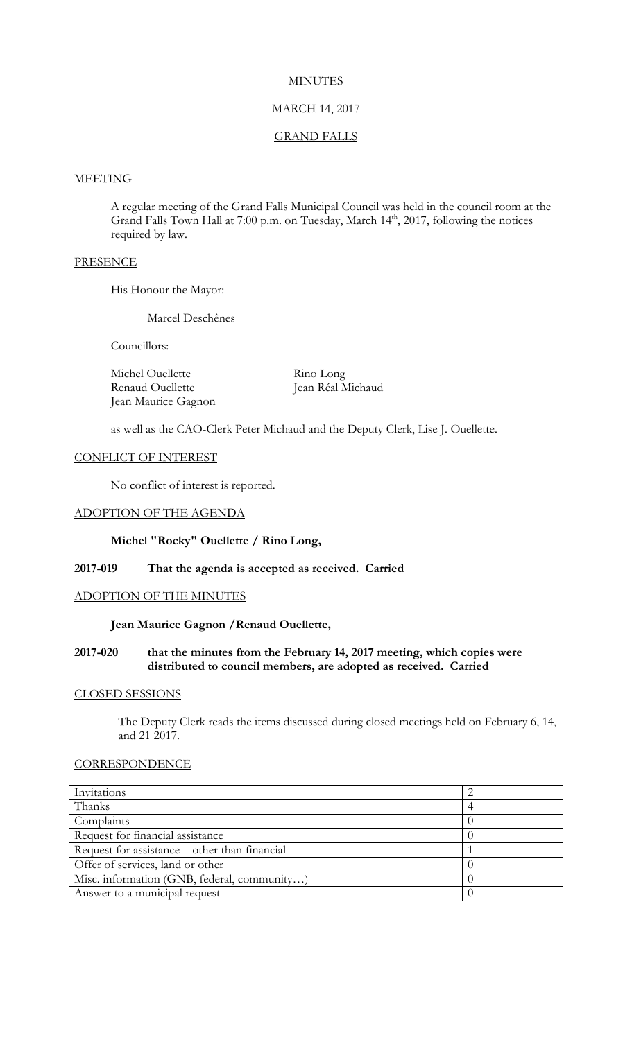## **MINUTES**

## MARCH 14, 2017

### GRAND FALLS

#### **MEETING**

A regular meeting of the Grand Falls Municipal Council was held in the council room at the Grand Falls Town Hall at 7:00 p.m. on Tuesday, March 14<sup>th</sup>, 2017, following the notices required by law.

## **PRESENCE**

His Honour the Mayor:

Marcel Deschênes

Councillors:

Michel Ouellette Rino Long Renaud Ouellette Jean Réal Michaud Jean Maurice Gagnon

as well as the CAO-Clerk Peter Michaud and the Deputy Clerk, Lise J. Ouellette.

## CONFLICT OF INTEREST

No conflict of interest is reported.

#### ADOPTION OF THE AGENDA

## **Michel "Rocky" Ouellette / Rino Long,**

## **2017-019 That the agenda is accepted as received. Carried**

## ADOPTION OF THE MINUTES

## **Jean Maurice Gagnon /Renaud Ouellette,**

## **2017-020 that the minutes from the February 14, 2017 meeting, which copies were distributed to council members, are adopted as received. Carried**

#### CLOSED SESSIONS

The Deputy Clerk reads the items discussed during closed meetings held on February 6, 14, and 21 2017.

## **CORRESPONDENCE**

| Invitations                                   |  |
|-----------------------------------------------|--|
| Thanks                                        |  |
| Complaints                                    |  |
| Request for financial assistance              |  |
| Request for assistance – other than financial |  |
| Offer of services, land or other              |  |
| Misc. information (GNB, federal, community)   |  |
| Answer to a municipal request                 |  |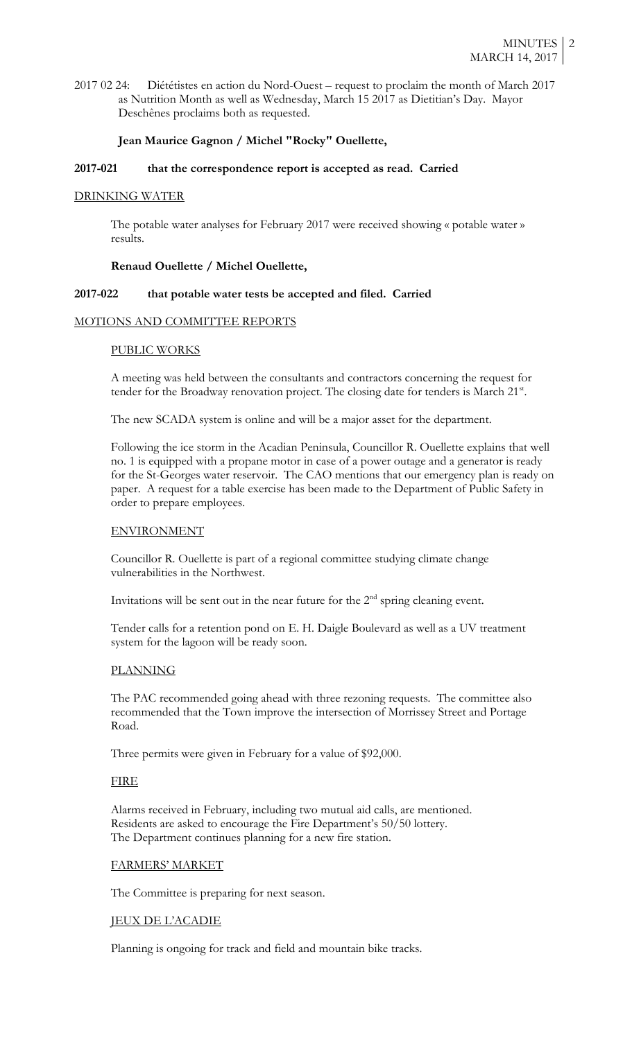2017 02 24: Diététistes en action du Nord-Ouest – request to proclaim the month of March 2017 as Nutrition Month as well as Wednesday, March 15 2017 as Dietitian's Day. Mayor Deschênes proclaims both as requested.

## **Jean Maurice Gagnon / Michel "Rocky" Ouellette,**

## **2017-021 that the correspondence report is accepted as read. Carried**

## DRINKING WATER

The potable water analyses for February 2017 were received showing « potable water » results.

## **Renaud Ouellette / Michel Ouellette,**

#### **2017-022 that potable water tests be accepted and filed. Carried**

#### MOTIONS AND COMMITTEE REPORTS

#### PUBLIC WORKS

A meeting was held between the consultants and contractors concerning the request for tender for the Broadway renovation project. The closing date for tenders is March 21<sup>st</sup>.

The new SCADA system is online and will be a major asset for the department.

Following the ice storm in the Acadian Peninsula, Councillor R. Ouellette explains that well no. 1 is equipped with a propane motor in case of a power outage and a generator is ready for the St-Georges water reservoir. The CAO mentions that our emergency plan is ready on paper. A request for a table exercise has been made to the Department of Public Safety in order to prepare employees.

## ENVIRONMENT

Councillor R. Ouellette is part of a regional committee studying climate change vulnerabilities in the Northwest.

Invitations will be sent out in the near future for the  $2<sup>nd</sup>$  spring cleaning event.

Tender calls for a retention pond on E. H. Daigle Boulevard as well as a UV treatment system for the lagoon will be ready soon.

## PLANNING

The PAC recommended going ahead with three rezoning requests. The committee also recommended that the Town improve the intersection of Morrissey Street and Portage Road.

Three permits were given in February for a value of \$92,000.

#### FIRE

Alarms received in February, including two mutual aid calls, are mentioned. Residents are asked to encourage the Fire Department's 50/50 lottery. The Department continues planning for a new fire station.

#### FARMERS' MARKET

The Committee is preparing for next season.

#### JEUX DE L'ACADIE

Planning is ongoing for track and field and mountain bike tracks.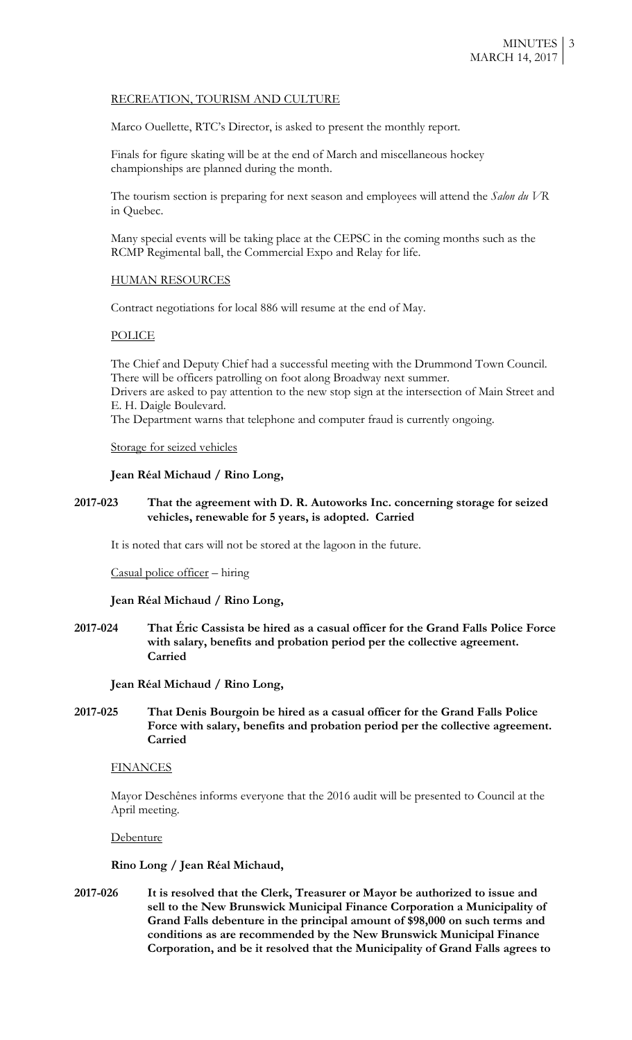## RECREATION, TOURISM AND CULTURE

Marco Ouellette, RTC's Director, is asked to present the monthly report.

Finals for figure skating will be at the end of March and miscellaneous hockey championships are planned during the month.

The tourism section is preparing for next season and employees will attend the *Salon du VR* in Quebec.

Many special events will be taking place at the CEPSC in the coming months such as the RCMP Regimental ball, the Commercial Expo and Relay for life.

#### HUMAN RESOURCES

Contract negotiations for local 886 will resume at the end of May.

#### POLICE

The Chief and Deputy Chief had a successful meeting with the Drummond Town Council. There will be officers patrolling on foot along Broadway next summer. Drivers are asked to pay attention to the new stop sign at the intersection of Main Street and

E. H. Daigle Boulevard.

The Department warns that telephone and computer fraud is currently ongoing.

Storage for seized vehicles

#### **Jean Réal Michaud / Rino Long,**

## **2017-023 That the agreement with D. R. Autoworks Inc. concerning storage for seized vehicles, renewable for 5 years, is adopted. Carried**

It is noted that cars will not be stored at the lagoon in the future.

Casual police officer – hiring

**Jean Réal Michaud / Rino Long,**

**2017-024 That Éric Cassista be hired as a casual officer for the Grand Falls Police Force with salary, benefits and probation period per the collective agreement. Carried**

**Jean Réal Michaud / Rino Long,**

## **2017-025 That Denis Bourgoin be hired as a casual officer for the Grand Falls Police Force with salary, benefits and probation period per the collective agreement. Carried**

#### **FINANCES**

Mayor Deschênes informs everyone that the 2016 audit will be presented to Council at the April meeting.

**Debenture** 

## **Rino Long / Jean Réal Michaud,**

**2017-026 It is resolved that the Clerk, Treasurer or Mayor be authorized to issue and sell to the New Brunswick Municipal Finance Corporation a Municipality of Grand Falls debenture in the principal amount of \$98,000 on such terms and conditions as are recommended by the New Brunswick Municipal Finance Corporation, and be it resolved that the Municipality of Grand Falls agrees to**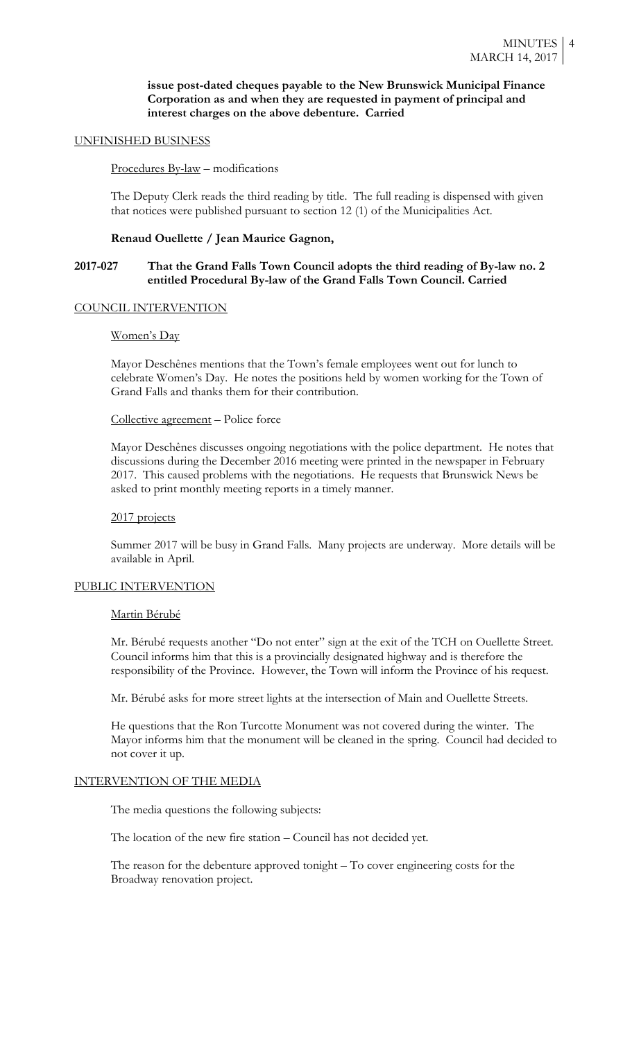## **issue post-dated cheques payable to the New Brunswick Municipal Finance Corporation as and when they are requested in payment of principal and interest charges on the above debenture. Carried**

#### UNFINISHED BUSINESS

## Procedures By-law – modifications

The Deputy Clerk reads the third reading by title. The full reading is dispensed with given that notices were published pursuant to section 12 (1) of the Municipalities Act.

## **Renaud Ouellette / Jean Maurice Gagnon,**

## **2017-027 That the Grand Falls Town Council adopts the third reading of By-law no. 2 entitled Procedural By-law of the Grand Falls Town Council. Carried**

#### COUNCIL INTERVENTION

#### Women's Day

Mayor Deschênes mentions that the Town's female employees went out for lunch to celebrate Women's Day. He notes the positions held by women working for the Town of Grand Falls and thanks them for their contribution.

## Collective agreement – Police force

Mayor Deschênes discusses ongoing negotiations with the police department. He notes that discussions during the December 2016 meeting were printed in the newspaper in February 2017. This caused problems with the negotiations. He requests that Brunswick News be asked to print monthly meeting reports in a timely manner.

### 2017 projects

Summer 2017 will be busy in Grand Falls. Many projects are underway. More details will be available in April.

#### PUBLIC INTERVENTION

#### Martin Bérubé

Mr. Bérubé requests another "Do not enter" sign at the exit of the TCH on Ouellette Street. Council informs him that this is a provincially designated highway and is therefore the responsibility of the Province. However, the Town will inform the Province of his request.

Mr. Bérubé asks for more street lights at the intersection of Main and Ouellette Streets.

He questions that the Ron Turcotte Monument was not covered during the winter. The Mayor informs him that the monument will be cleaned in the spring. Council had decided to not cover it up.

### INTERVENTION OF THE MEDIA

The media questions the following subjects:

The location of the new fire station – Council has not decided yet.

The reason for the debenture approved tonight – To cover engineering costs for the Broadway renovation project.